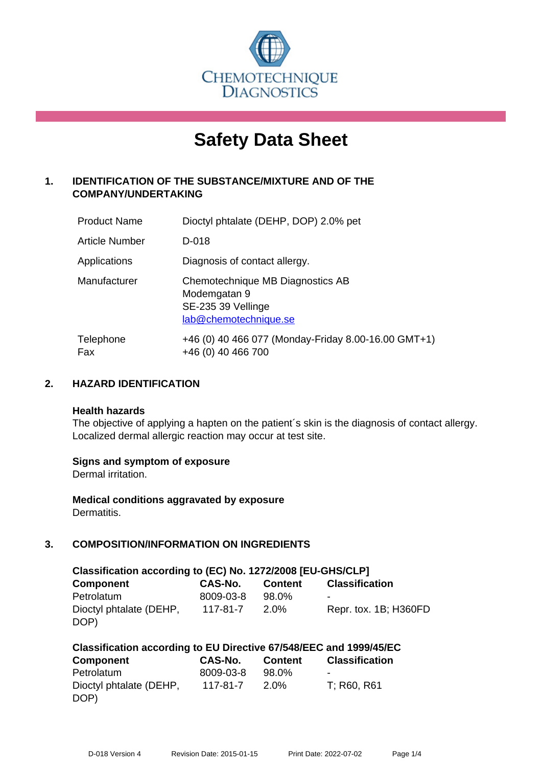

# **Safety Data Sheet**

# **1. IDENTIFICATION OF THE SUBSTANCE/MIXTURE AND OF THE COMPANY/UNDERTAKING**

| <b>Product Name</b> | Dioctyl phtalate (DEHP, DOP) 2.0% pet                                                           |
|---------------------|-------------------------------------------------------------------------------------------------|
| Article Number      | D-018                                                                                           |
| Applications        | Diagnosis of contact allergy.                                                                   |
| Manufacturer        | Chemotechnique MB Diagnostics AB<br>Modemgatan 9<br>SE-235 39 Vellinge<br>lab@chemotechnique.se |
| Telephone<br>Fax    | +46 (0) 40 466 077 (Monday-Friday 8.00-16.00 GMT+1)<br>+46 (0) 40 466 700                       |

## **2. HAZARD IDENTIFICATION**

#### **Health hazards**

The objective of applying a hapten on the patient's skin is the diagnosis of contact allergy. Localized dermal allergic reaction may occur at test site.

## **Signs and symptom of exposure**

Dermal irritation.

**Medical conditions aggravated by exposure** Dermatitis.

# **3. COMPOSITION/INFORMATION ON INGREDIENTS**

| Classification according to (EC) No. 1272/2008 [EU-GHS/CLP] |                |                |                       |  |  |  |
|-------------------------------------------------------------|----------------|----------------|-----------------------|--|--|--|
| <b>Component</b>                                            | <b>CAS-No.</b> | <b>Content</b> | <b>Classification</b> |  |  |  |
| Petrolatum                                                  | 8009-03-8      | 98.0%          | -                     |  |  |  |
| Dioctyl phtalate (DEHP,                                     | 117-81-7       | $2.0\%$        | Repr. tox. 1B; H360FD |  |  |  |
| DOP)                                                        |                |                |                       |  |  |  |

| Classification according to EU Directive 67/548/EEC and 1999/45/EC |                |                |                       |  |  |
|--------------------------------------------------------------------|----------------|----------------|-----------------------|--|--|
| Component                                                          | <b>CAS-No.</b> | <b>Content</b> | <b>Classification</b> |  |  |
| Petrolatum                                                         | 8009-03-8      | 98.0%          | -                     |  |  |
| Dioctyl phtalate (DEHP,                                            | 117-81-7       | 2.0%           | T: R60, R61           |  |  |
| DOP)                                                               |                |                |                       |  |  |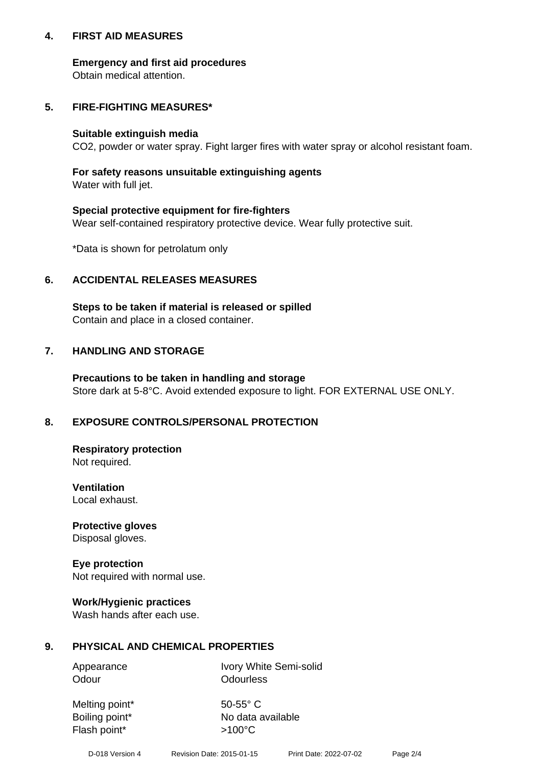## **4. FIRST AID MEASURES**

## **Emergency and first aid procedures**

Obtain medical attention.

# **5. FIRE-FIGHTING MEASURES\***

#### **Suitable extinguish media**

CO2, powder or water spray. Fight larger fires with water spray or alcohol resistant foam.

# **For safety reasons unsuitable extinguishing agents**

Water with full jet.

## **Special protective equipment for fire-fighters**

Wear self-contained respiratory protective device. Wear fully protective suit.

\*Data is shown for petrolatum only

## **6. ACCIDENTAL RELEASES MEASURES**

**Steps to be taken if material is released or spilled** Contain and place in a closed container.

# **7. HANDLING AND STORAGE**

**Precautions to be taken in handling and storage** Store dark at 5-8°C. Avoid extended exposure to light. FOR EXTERNAL USE ONLY.

# **8. EXPOSURE CONTROLS/PERSONAL PROTECTION**

**Respiratory protection** Not required.

**Ventilation** Local exhaust.

**Protective gloves** Disposal gloves.

#### **Eye protection** Not required with normal use.

## **Work/Hygienic practices**

Wash hands after each use.

## **9. PHYSICAL AND CHEMICAL PROPERTIES**

Odour **Odourless** 

Appearance Ivory White Semi-solid

Melting point\* 50-55° C Flash point\*  $>100^{\circ}$ C

Boiling point\* No data available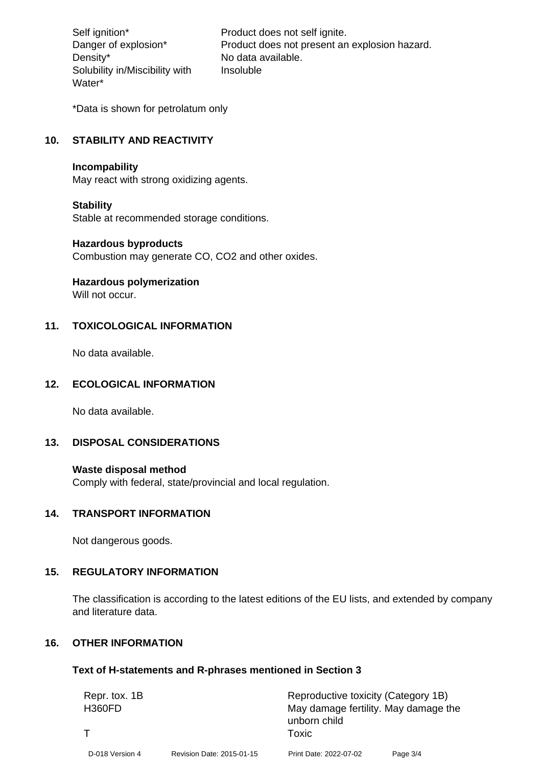Density\* No data available. Solubility in/Miscibility with Water\*

Self ignition\* Product does not self ignite. Danger of explosion\* Product does not present an explosion hazard. Insoluble

\*Data is shown for petrolatum only

## **10. STABILITY AND REACTIVITY**

#### **Incompability**

May react with strong oxidizing agents.

#### **Stability**

Stable at recommended storage conditions.

#### **Hazardous byproducts**

Combustion may generate CO, CO2 and other oxides.

**Hazardous polymerization**

Will not occur.

## **11. TOXICOLOGICAL INFORMATION**

No data available.

#### **12. ECOLOGICAL INFORMATION**

No data available.

## **13. DISPOSAL CONSIDERATIONS**

#### **Waste disposal method**

Comply with federal, state/provincial and local regulation.

#### **14. TRANSPORT INFORMATION**

Not dangerous goods.

# **15. REGULATORY INFORMATION**

The classification is according to the latest editions of the EU lists, and extended by company and literature data.

#### **16. OTHER INFORMATION**

#### **Text of H-statements and R-phrases mentioned in Section 3**

| Repr. tox. 1B   |                           | unborn child           | Reproductive toxicity (Category 1B)  |  |  |
|-----------------|---------------------------|------------------------|--------------------------------------|--|--|
| <b>H360FD</b>   |                           | Toxic                  | May damage fertility. May damage the |  |  |
| D-018 Version 4 | Revision Date: 2015-01-15 | Print Date: 2022-07-02 | Page 3/4                             |  |  |